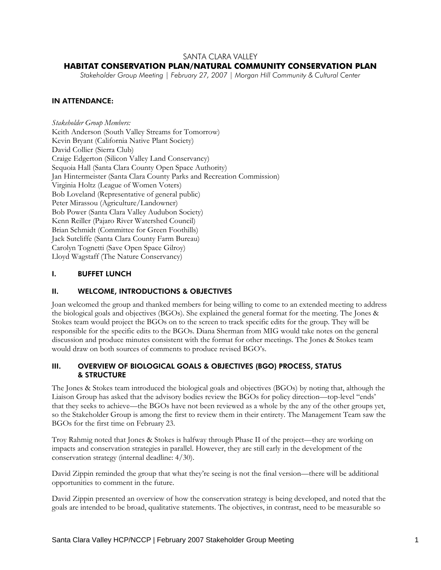# SANTA CLARA VALLEY

# **HABITAT CONSERVATION PLAN/NATURAL COMMUNITY CONSERVATION PLAN**

*Stakeholder Group Meeting | February 27, 2007 | Morgan Hill Community & Cultural Center* 

## IN ATTENDANCE:

*Stakeholder Group Members:*  Keith Anderson (South Valley Streams for Tomorrow) Kevin Bryant (California Native Plant Society) David Collier (Sierra Club) Craige Edgerton (Silicon Valley Land Conservancy) Sequoia Hall (Santa Clara County Open Space Authority) Jan Hintermeister (Santa Clara County Parks and Recreation Commission) Virginia Holtz (League of Women Voters) Bob Loveland (Representative of general public) Peter Mirassou (Agriculture/Landowner) Bob Power (Santa Clara Valley Audubon Society) Kenn Reiller (Pajaro River Watershed Council) Brian Schmidt (Committee for Green Foothills) Jack Sutcliffe (Santa Clara County Farm Bureau) Carolyn Tognetti (Save Open Space Gilroy) Lloyd Wagstaff (The Nature Conservancy)

## I. BUFFET LUNCH

### II. WELCOME, INTRODUCTIONS & OBJECTIVES

Joan welcomed the group and thanked members for being willing to come to an extended meeting to address the biological goals and objectives (BGOs). She explained the general format for the meeting. The Jones & Stokes team would project the BGOs on to the screen to track specific edits for the group. They will be responsible for the specific edits to the BGOs. Diana Sherman from MIG would take notes on the general discussion and produce minutes consistent with the format for other meetings. The Jones & Stokes team would draw on both sources of comments to produce revised BGO's.

## III. OVERVIEW OF BIOLOGICAL GOALS & OBJECTIVES (BGO) PROCESS, STATUS & STRUCTURE

The Jones & Stokes team introduced the biological goals and objectives (BGOs) by noting that, although the Liaison Group has asked that the advisory bodies review the BGOs for policy direction—top-level "ends' that they seeks to achieve—the BGOs have not been reviewed as a whole by the any of the other groups yet, so the Stakeholder Group is among the first to review them in their entirety. The Management Team saw the BGOs for the first time on February 23.

Troy Rahmig noted that Jones & Stokes is halfway through Phase II of the project—they are working on impacts and conservation strategies in parallel. However, they are still early in the development of the conservation strategy (internal deadline: 4/30).

David Zippin reminded the group that what they're seeing is not the final version—there will be additional opportunities to comment in the future.

David Zippin presented an overview of how the conservation strategy is being developed, and noted that the goals are intended to be broad, qualitative statements. The objectives, in contrast, need to be measurable so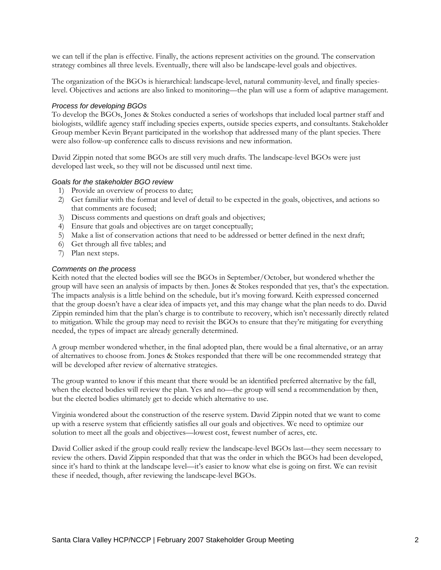we can tell if the plan is effective. Finally, the actions represent activities on the ground. The conservation strategy combines all three levels. Eventually, there will also be landscape-level goals and objectives.

The organization of the BGOs is hierarchical: landscape-level, natural community-level, and finally specieslevel. Objectives and actions are also linked to monitoring—the plan will use a form of adaptive management.

#### *Process for developing BGOs*

To develop the BGOs, Jones & Stokes conducted a series of workshops that included local partner staff and biologists, wildlife agency staff including species experts, outside species experts, and consultants. Stakeholder Group member Kevin Bryant participated in the workshop that addressed many of the plant species. There were also follow-up conference calls to discuss revisions and new information.

David Zippin noted that some BGOs are still very much drafts. The landscape-level BGOs were just developed last week, so they will not be discussed until next time.

#### *Goals for the stakeholder BGO review*

- 1) Provide an overview of process to date;
- 2) Get familiar with the format and level of detail to be expected in the goals, objectives, and actions so that comments are focused;
- 3) Discuss comments and questions on draft goals and objectives;
- 4) Ensure that goals and objectives are on target conceptually;
- 5) Make a list of conservation actions that need to be addressed or better defined in the next draft;
- 6) Get through all five tables; and
- 7) Plan next steps.

#### *Comments on the process*

Keith noted that the elected bodies will see the BGOs in September/October, but wondered whether the group will have seen an analysis of impacts by then. Jones & Stokes responded that yes, that's the expectation. The impacts analysis is a little behind on the schedule, but it's moving forward. Keith expressed concerned that the group doesn't have a clear idea of impacts yet, and this may change what the plan needs to do. David Zippin reminded him that the plan's charge is to contribute to recovery, which isn't necessarily directly related to mitigation. While the group may need to revisit the BGOs to ensure that they're mitigating for everything needed, the types of impact are already generally determined.

A group member wondered whether, in the final adopted plan, there would be a final alternative, or an array of alternatives to choose from. Jones & Stokes responded that there will be one recommended strategy that will be developed after review of alternative strategies.

The group wanted to know if this meant that there would be an identified preferred alternative by the fall, when the elected bodies will review the plan. Yes and no—the group will send a recommendation by then, but the elected bodies ultimately get to decide which alternative to use.

Virginia wondered about the construction of the reserve system. David Zippin noted that we want to come up with a reserve system that efficiently satisfies all our goals and objectives. We need to optimize our solution to meet all the goals and objectives—lowest cost, fewest number of acres, etc.

David Collier asked if the group could really review the landscape-level BGOs last—they seem necessary to review the others. David Zippin responded that that was the order in which the BGOs had been developed, since it's hard to think at the landscape level—it's easier to know what else is going on first. We can revisit these if needed, though, after reviewing the landscape-level BGOs.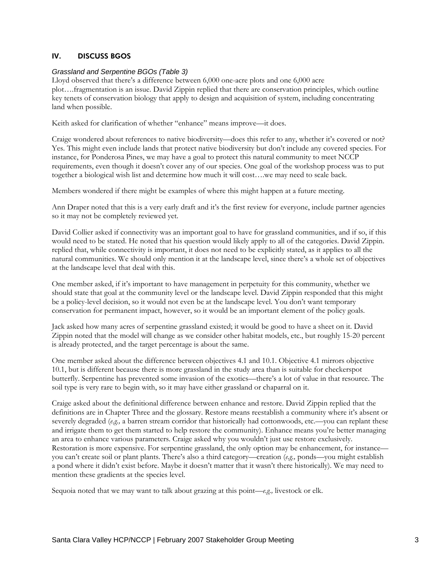# IV. DISCUSS BGOS

### *Grassland and Serpentine BGOs (Table 3)*

Lloyd observed that there's a difference between 6,000 one-acre plots and one 6,000 acre plot….fragmentation is an issue. David Zippin replied that there are conservation principles, which outline key tenets of conservation biology that apply to design and acquisition of system, including concentrating land when possible.

Keith asked for clarification of whether "enhance" means improve—it does.

Craige wondered about references to native biodiversity—does this refer to any, whether it's covered or not? Yes. This might even include lands that protect native biodiversity but don't include any covered species. For instance, for Ponderosa Pines, we may have a goal to protect this natural community to meet NCCP requirements, even though it doesn't cover any of our species. One goal of the workshop process was to put together a biological wish list and determine how much it will cost….we may need to scale back.

Members wondered if there might be examples of where this might happen at a future meeting.

Ann Draper noted that this is a very early draft and it's the first review for everyone, include partner agencies so it may not be completely reviewed yet.

David Collier asked if connectivity was an important goal to have for grassland communities, and if so, if this would need to be stated. He noted that his question would likely apply to all of the categories. David Zippin. replied that, while connectivity is important, it does not need to be explicitly stated, as it applies to all the natural communities. We should only mention it at the landscape level, since there's a whole set of objectives at the landscape level that deal with this.

One member asked, if it's important to have management in perpetuity for this community, whether we should state that goal at the community level or the landscape level. David Zippin responded that this might be a policy-level decision, so it would not even be at the landscape level. You don't want temporary conservation for permanent impact, however, so it would be an important element of the policy goals.

Jack asked how many acres of serpentine grassland existed; it would be good to have a sheet on it. David Zippin noted that the model will change as we consider other habitat models, etc., but roughly 15-20 percent is already protected, and the target percentage is about the same.

One member asked about the difference between objectives 4.1 and 10.1. Objective 4.1 mirrors objective 10.1, but is different because there is more grassland in the study area than is suitable for checkerspot butterfly. Serpentine has prevented some invasion of the exotics—there's a lot of value in that resource. The soil type is very rare to begin with, so it may have either grassland or chaparral on it.

Craige asked about the definitional difference between enhance and restore. David Zippin replied that the definitions are in Chapter Three and the glossary. Restore means reestablish a community where it's absent or severely degraded (*e.g.,* a barren stream corridor that historically had cottonwoods, etc.—you can replant these and irrigate them to get them started to help restore the community). Enhance means you're better managing an area to enhance various parameters. Craige asked why you wouldn't just use restore exclusively. Restoration is more expensive. For serpentine grassland, the only option may be enhancement, for instance you can't create soil or plant plants. There's also a third category—creation (*e.g.,* ponds—you might establish a pond where it didn't exist before. Maybe it doesn't matter that it wasn't there historically). We may need to mention these gradients at the species level.

Sequoia noted that we may want to talk about grazing at this point—*e.g.,* livestock or elk.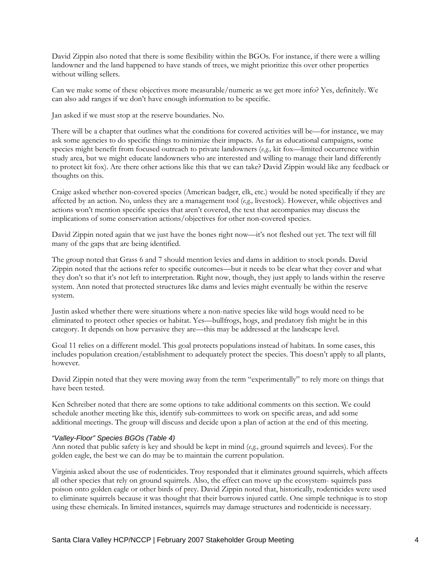David Zippin also noted that there is some flexibility within the BGOs. For instance, if there were a willing landowner and the land happened to have stands of trees, we might prioritize this over other properties without willing sellers.

Can we make some of these objectives more measurable/numeric as we get more info? Yes, definitely. We can also add ranges if we don't have enough information to be specific.

Jan asked if we must stop at the reserve boundaries. No.

There will be a chapter that outlines what the conditions for covered activities will be—for instance, we may ask some agencies to do specific things to minimize their impacts. As far as educational campaigns, some species might benefit from focused outreach to private landowners (*e.g.,* kit fox—limited occurrence within study area, but we might educate landowners who are interested and willing to manage their land differently to protect kit fox). Are there other actions like this that we can take? David Zippin would like any feedback or thoughts on this.

Craige asked whether non-covered species (American badger, elk, etc.) would be noted specifically if they are affected by an action. No, unless they are a management tool (*e.g.,* livestock). However, while objectives and actions won't mention specific species that aren't covered, the text that accompanies may discuss the implications of some conservation actions/objectives for other non-covered species.

David Zippin noted again that we just have the bones right now—it's not fleshed out yet. The text will fill many of the gaps that are being identified.

The group noted that Grass 6 and 7 should mention levies and dams in addition to stock ponds. David Zippin noted that the actions refer to specific outcomes—but it needs to be clear what they cover and what they don't so that it's not left to interpretation. Right now, though, they just apply to lands within the reserve system. Ann noted that protected structures like dams and levies might eventually be within the reserve system.

Justin asked whether there were situations where a non-native species like wild hogs would need to be eliminated to protect other species or habitat. Yes—bullfrogs, hogs, and predatory fish might be in this category. It depends on how pervasive they are—this may be addressed at the landscape level.

Goal 11 relies on a different model. This goal protects populations instead of habitats. In some cases, this includes population creation/establishment to adequately protect the species. This doesn't apply to all plants, however.

David Zippin noted that they were moving away from the term "experimentally" to rely more on things that have been tested.

Ken Schreiber noted that there are some options to take additional comments on this section. We could schedule another meeting like this, identify sub-committees to work on specific areas, and add some additional meetings. The group will discuss and decide upon a plan of action at the end of this meeting.

### *"Valley-Floor" Species BGOs (Table 4)*

Ann noted that public safety is key and should be kept in mind (*e.g.,* ground squirrels and levees). For the golden eagle, the best we can do may be to maintain the current population.

Virginia asked about the use of rodenticides. Troy responded that it eliminates ground squirrels, which affects all other species that rely on ground squirrels. Also, the effect can move up the ecosystem- squirrels pass poison onto golden eagle or other birds of prey. David Zippin noted that, historically, rodenticides were used to eliminate squirrels because it was thought that their burrows injured cattle. One simple technique is to stop using these chemicals. In limited instances, squirrels may damage structures and rodenticide is necessary.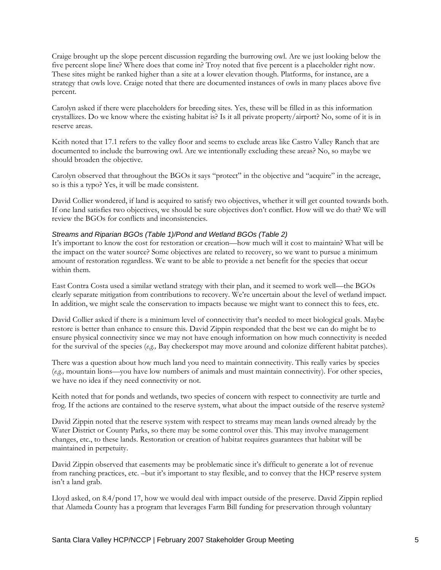Craige brought up the slope percent discussion regarding the burrowing owl. Are we just looking below the five percent slope line? Where does that come in? Troy noted that five percent is a placeholder right now. These sites might be ranked higher than a site at a lower elevation though. Platforms, for instance, are a strategy that owls love. Craige noted that there are documented instances of owls in many places above five percent.

Carolyn asked if there were placeholders for breeding sites. Yes, these will be filled in as this information crystallizes. Do we know where the existing habitat is? Is it all private property/airport? No, some of it is in reserve areas.

Keith noted that 17.1 refers to the valley floor and seems to exclude areas like Castro Valley Ranch that are documented to include the burrowing owl. Are we intentionally excluding these areas? No, so maybe we should broaden the objective.

Carolyn observed that throughout the BGOs it says "protect" in the objective and "acquire" in the acreage, so is this a typo? Yes, it will be made consistent.

David Collier wondered, if land is acquired to satisfy two objectives, whether it will get counted towards both. If one land satisfies two objectives, we should be sure objectives don't conflict. How will we do that? We will review the BGOs for conflicts and inconsistencies.

## *Streams and Riparian BGOs (Table 1)/Pond and Wetland BGOs (Table 2)*

It's important to know the cost for restoration or creation—how much will it cost to maintain? What will be the impact on the water source? Some objectives are related to recovery, so we want to pursue a minimum amount of restoration regardless. We want to be able to provide a net benefit for the species that occur within them.

East Contra Costa used a similar wetland strategy with their plan, and it seemed to work well—the BGOs clearly separate mitigation from contributions to recovery. We're uncertain about the level of wetland impact. In addition, we might scale the conservation to impacts because we might want to connect this to fees, etc.

David Collier asked if there is a minimum level of connectivity that's needed to meet biological goals. Maybe restore is better than enhance to ensure this. David Zippin responded that the best we can do might be to ensure physical connectivity since we may not have enough information on how much connectivity is needed for the survival of the species (*e.g.,* Bay checkerspot may move around and colonize different habitat patches).

There was a question about how much land you need to maintain connectivity. This really varies by species (*e.g.,* mountain lions—you have low numbers of animals and must maintain connectivity). For other species, we have no idea if they need connectivity or not.

Keith noted that for ponds and wetlands, two species of concern with respect to connectivity are turtle and frog. If the actions are contained to the reserve system, what about the impact outside of the reserve system?

David Zippin noted that the reserve system with respect to streams may mean lands owned already by the Water District or County Parks, so there may be some control over this. This may involve management changes, etc., to these lands. Restoration or creation of habitat requires guarantees that habitat will be maintained in perpetuity.

David Zippin observed that easements may be problematic since it's difficult to generate a lot of revenue from ranching practices, etc. –but it's important to stay flexible, and to convey that the HCP reserve system isn't a land grab.

Lloyd asked, on 8.4/pond 17, how we would deal with impact outside of the preserve. David Zippin replied that Alameda County has a program that leverages Farm Bill funding for preservation through voluntary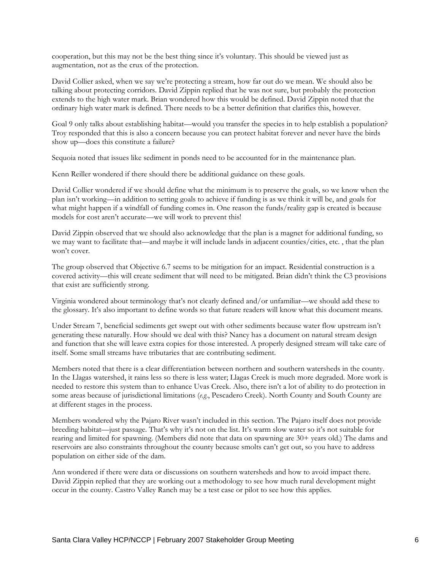cooperation, but this may not be the best thing since it's voluntary. This should be viewed just as augmentation, not as the crux of the protection.

David Collier asked, when we say we're protecting a stream, how far out do we mean. We should also be talking about protecting corridors. David Zippin replied that he was not sure, but probably the protection extends to the high water mark. Brian wondered how this would be defined. David Zippin noted that the ordinary high water mark is defined. There needs to be a better definition that clarifies this, however.

Goal 9 only talks about establishing habitat—would you transfer the species in to help establish a population? Troy responded that this is also a concern because you can protect habitat forever and never have the birds show up—does this constitute a failure?

Sequoia noted that issues like sediment in ponds need to be accounted for in the maintenance plan.

Kenn Reiller wondered if there should there be additional guidance on these goals.

David Collier wondered if we should define what the minimum is to preserve the goals, so we know when the plan isn't working—in addition to setting goals to achieve if funding is as we think it will be, and goals for what might happen if a windfall of funding comes in. One reason the funds/reality gap is created is because models for cost aren't accurate—we will work to prevent this!

David Zippin observed that we should also acknowledge that the plan is a magnet for additional funding, so we may want to facilitate that—and maybe it will include lands in adjacent counties/cities, etc. , that the plan won't cover.

The group observed that Objective 6.7 seems to be mitigation for an impact. Residential construction is a covered activity—this will create sediment that will need to be mitigated. Brian didn't think the C3 provisions that exist are sufficiently strong.

Virginia wondered about terminology that's not clearly defined and/or unfamiliar—we should add these to the glossary. It's also important to define words so that future readers will know what this document means.

Under Stream 7, beneficial sediments get swept out with other sediments because water flow upstream isn't generating these naturally. How should we deal with this? Nancy has a document on natural stream design and function that she will leave extra copies for those interested. A properly designed stream will take care of itself. Some small streams have tributaries that are contributing sediment.

Members noted that there is a clear differentiation between northern and southern watersheds in the county. In the Llagas watershed, it rains less so there is less water; Llagas Creek is much more degraded. More work is needed to restore this system than to enhance Uvas Creek. Also, there isn't a lot of ability to do protection in some areas because of jurisdictional limitations (*e.g*., Pescadero Creek). North County and South County are at different stages in the process.

Members wondered why the Pajaro River wasn't included in this section. The Pajaro itself does not provide breeding habitat—just passage. That's why it's not on the list. It's warm slow water so it's not suitable for rearing and limited for spawning. (Members did note that data on spawning are 30+ years old.) The dams and reservoirs are also constraints throughout the county because smolts can't get out, so you have to address population on either side of the dam.

Ann wondered if there were data or discussions on southern watersheds and how to avoid impact there. David Zippin replied that they are working out a methodology to see how much rural development might occur in the county. Castro Valley Ranch may be a test case or pilot to see how this applies.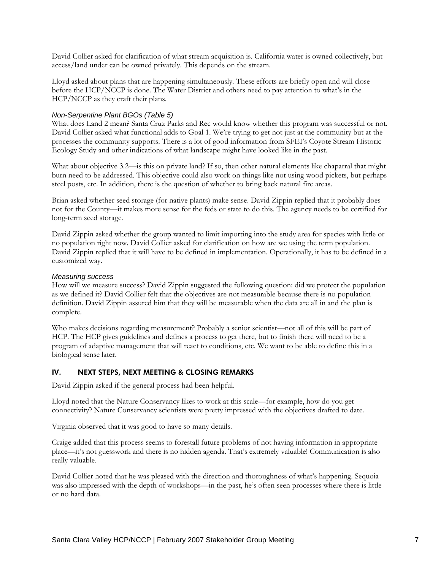David Collier asked for clarification of what stream acquisition is. California water is owned collectively, but access/land under can be owned privately. This depends on the stream.

Lloyd asked about plans that are happening simultaneously. These efforts are briefly open and will close before the HCP/NCCP is done. The Water District and others need to pay attention to what's in the HCP/NCCP as they craft their plans.

## *Non-Serpentine Plant BGOs (Table 5)*

What does Land 2 mean? Santa Cruz Parks and Rec would know whether this program was successful or not. David Collier asked what functional adds to Goal 1. We're trying to get not just at the community but at the processes the community supports. There is a lot of good information from SFEI's Coyote Stream Historic Ecology Study and other indications of what landscape might have looked like in the past.

What about objective 3.2—is this on private land? If so, then other natural elements like chaparral that might burn need to be addressed. This objective could also work on things like not using wood pickets, but perhaps steel posts, etc. In addition, there is the question of whether to bring back natural fire areas.

Brian asked whether seed storage (for native plants) make sense. David Zippin replied that it probably does not for the County—it makes more sense for the feds or state to do this. The agency needs to be certified for long-term seed storage.

David Zippin asked whether the group wanted to limit importing into the study area for species with little or no population right now. David Collier asked for clarification on how are we using the term population. David Zippin replied that it will have to be defined in implementation. Operationally, it has to be defined in a customized way.

### *Measuring success*

How will we measure success? David Zippin suggested the following question: did we protect the population as we defined it? David Collier felt that the objectives are not measurable because there is no population definition. David Zippin assured him that they will be measurable when the data are all in and the plan is complete.

Who makes decisions regarding measurement? Probably a senior scientist—not all of this will be part of HCP. The HCP gives guidelines and defines a process to get there, but to finish there will need to be a program of adaptive management that will react to conditions, etc. We want to be able to define this in a biological sense later.

# IV. NEXT STEPS, NEXT MEETING & CLOSING REMARKS

David Zippin asked if the general process had been helpful.

Lloyd noted that the Nature Conservancy likes to work at this scale—for example, how do you get connectivity? Nature Conservancy scientists were pretty impressed with the objectives drafted to date.

Virginia observed that it was good to have so many details.

Craige added that this process seems to forestall future problems of not having information in appropriate place—it's not guesswork and there is no hidden agenda. That's extremely valuable! Communication is also really valuable.

David Collier noted that he was pleased with the direction and thoroughness of what's happening. Sequoia was also impressed with the depth of workshops—in the past, he's often seen processes where there is little or no hard data.